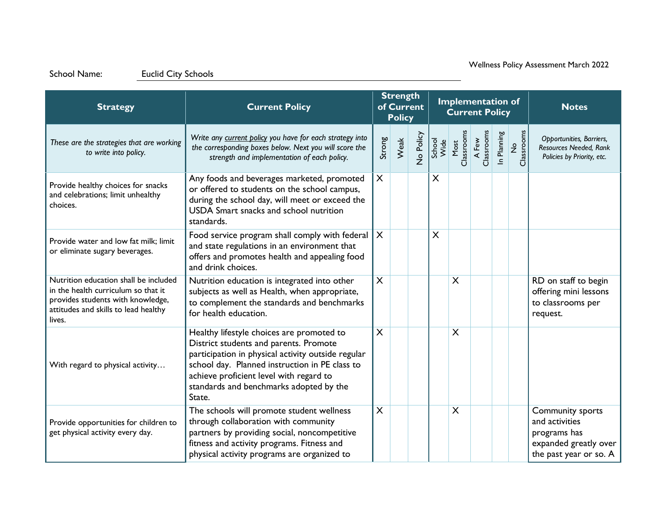| <b>Strategy</b>                                                                                                                                                     | <b>Current Policy</b>                                                                                                                                                                                                                                                                       | <b>Strength</b><br>of Current<br><b>Policy</b> |      |           |                         |                    | <b>Implementation of</b><br><b>Current Policy</b> |             | <b>Notes</b>     |                                                                                                       |
|---------------------------------------------------------------------------------------------------------------------------------------------------------------------|---------------------------------------------------------------------------------------------------------------------------------------------------------------------------------------------------------------------------------------------------------------------------------------------|------------------------------------------------|------|-----------|-------------------------|--------------------|---------------------------------------------------|-------------|------------------|-------------------------------------------------------------------------------------------------------|
| These are the strategies that are working<br>to write into policy.                                                                                                  | Write any current policy you have for each strategy into<br>the corresponding boxes below. Next you will score the<br>strength and implementation of each policy.                                                                                                                           | Strong                                         | Weak | No Policy | School<br>Wide          | Most<br>Classrooms | A Few<br>Classrooms                               | In Planning | No<br>Classrooms | Opportunities, Barriers,<br>Resources Needed, Rank<br>Policies by Priority, etc.                      |
| Provide healthy choices for snacks<br>and celebrations; limit unhealthy<br>choices.                                                                                 | Any foods and beverages marketed, promoted<br>or offered to students on the school campus,<br>during the school day, will meet or exceed the<br>USDA Smart snacks and school nutrition<br>standards.                                                                                        | X                                              |      |           | $\sf X$                 |                    |                                                   |             |                  |                                                                                                       |
| Provide water and low fat milk; limit<br>or eliminate sugary beverages.                                                                                             | Food service program shall comply with federal<br>and state regulations in an environment that<br>offers and promotes health and appealing food<br>and drink choices.                                                                                                                       | $\sf X$                                        |      |           | $\overline{\mathsf{X}}$ |                    |                                                   |             |                  |                                                                                                       |
| Nutrition education shall be included<br>in the health curriculum so that it<br>provides students with knowledge,<br>attitudes and skills to lead healthy<br>lives. | Nutrition education is integrated into other<br>subjects as well as Health, when appropriate,<br>to complement the standards and benchmarks<br>for health education.                                                                                                                        | $\overline{\mathsf{X}}$                        |      |           |                         | $\times$           |                                                   |             |                  | RD on staff to begin<br>offering mini lessons<br>to classrooms per<br>request.                        |
| With regard to physical activity                                                                                                                                    | Healthy lifestyle choices are promoted to<br>District students and parents. Promote<br>participation in physical activity outside regular<br>school day. Planned instruction in PE class to<br>achieve proficient level with regard to<br>standards and benchmarks adopted by the<br>State. | $\times$                                       |      |           |                         | $\times$           |                                                   |             |                  |                                                                                                       |
| Provide opportunities for children to<br>get physical activity every day.                                                                                           | The schools will promote student wellness<br>through collaboration with community<br>partners by providing social, noncompetitive<br>fitness and activity programs. Fitness and<br>physical activity programs are organized to                                                              | $\boldsymbol{\mathsf{X}}$                      |      |           |                         | X                  |                                                   |             |                  | Community sports<br>and activities<br>programs has<br>expanded greatly over<br>the past year or so. A |